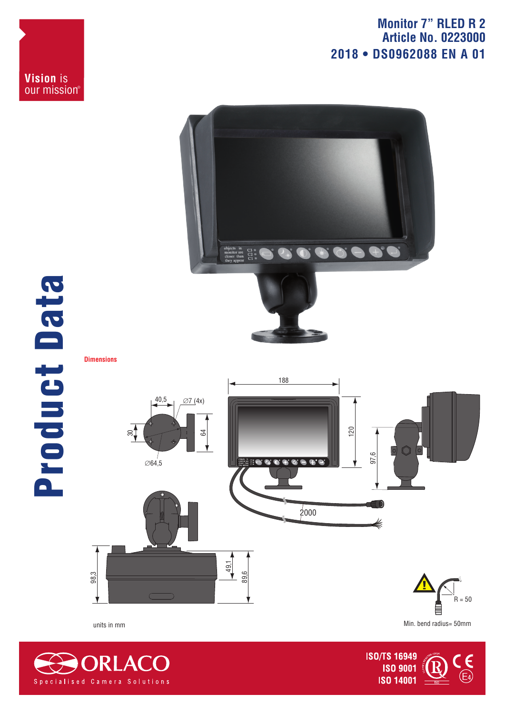## **Monitor 7" RLED R 2 Article No. 0223000 2018 • DS0962088 EN A 01**





## Product Data Product Data



Min. bend radius= 50mm